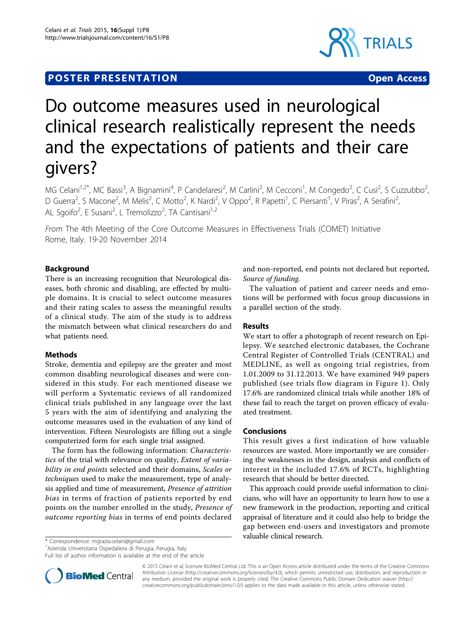# **POSTER PRESENTATION CONSUMING THE SERVICE OPEN ACCESS**



# Do outcome measures used in neurological clinical research realistically represent the needs and the expectations of patients and their care givers?

MG Celani<sup>1,2\*</sup>, MC Bassi<sup>3</sup>, A Bignamini<sup>4</sup>, P Candelaresi<sup>2</sup>, M Carlini<sup>2</sup>, M Cecconi<sup>1</sup>, M Congedo<sup>2</sup>, C Cusi<sup>2</sup>, S Cuzzubbo<sup>2</sup> , D Guerra<sup>2</sup>, S Macone<sup>2</sup>, M Melis<sup>2</sup>, C Motto<sup>2</sup>, K Nardi<sup>2</sup>, V Oppo<sup>2</sup>, R Papetti<sup>1</sup>, C Piersanti<sup>1</sup>, V Piras<sup>2</sup>, A Serafini<sup>2</sup> .<br>, AL Sgoifo<sup>2</sup>, E Susani<sup>2</sup>, L Tremolizzo<sup>2</sup>, TA Cantisani<sup>1,2</sup>

From The 4th Meeting of the Core Outcome Measures in Effectiveness Trials (COMET) Initiative Rome, Italy. 19-20 November 2014

# Background

There is an increasing recognition that Neurological diseases, both chronic and disabling, are effected by multiple domains. It is crucial to select outcome measures and their rating scales to assess the meaningful results of a clinical study. The aim of the study is to address the mismatch between what clinical researchers do and what patients need.

# Methods

Stroke, dementia and epilepsy are the greater and most common disabling neurological diseases and were considered in this study. For each mentioned disease we will perform a Systematic reviews of all randomized clinical trials published in any language over the last 5 years with the aim of identifying and analyzing the outcome measures used in the evaluation of any kind of intervention. Fifteen Neurologists are filling out a single computerized form for each single trial assigned.

The form has the following information: Characteristics of the trial with relevance on quality, Extent of variability in end points selected and their domains, Scales or techniques used to make the measurement, type of analysis applied and time of measurement, Presence of attrition bias in terms of fraction of patients reported by end points on the number enrolled in the study, Presence of outcome reporting bias in terms of end points declared

and non-reported, end points not declared but reported, Source of funding.

The valuation of patient and career needs and emotions will be performed with focus group discussions in a parallel section of the study.

# Results

We start to offer a photograph of recent research on Epilepsy. We searched electronic databases, the Cochrane Central Register of Controlled Trials (CENTRAL) and MEDLINE, as well as ongoing trial registries, from 1.01.2009 to 31.12.2013. We have examined 949 papers published (see trials flow diagram in Figure [1](#page-1-0)). Only 17.6% are randomized clinical trials while another 18% of these fail to reach the target on proven efficacy of evaluated treatment.

# Conclusions

This result gives a first indication of how valuable resources are wasted. More importantly we are considering the weaknesses in the design, analysis and conflicts of interest in the included 17.6% of RCTs, highlighting research that should be better directed.

This approach could provide useful information to clinicians, who will have an opportunity to learn how to use a new framework in the production, reporting and critical appraisal of literature and it could also help to bridge the gap between end-users and investigators and promote valuable clinical research.

\* Correspondence: [mgrazia.celani@gmail.com](mailto:mgrazia.celani@gmail.com)

1 Azienda Universitaria Ospedaliera di Perugia, Perugia, Italy

Full list of author information is available at the end of the article



© 2015 Celani et al; licensee BioMed Central Ltd. This is an Open Access article distributed under the terms of the Creative Commons Attribution License [\(http://creativecommons.org/licenses/by/4.0](http://creativecommons.org/licenses/by/4.0)), which permits unrestricted use, distribution, and reproduction in any medium, provided the original work is properly cited. The Creative Commons Public Domain Dedication waiver [\(http://](http://creativecommons.org/publicdomain/zero/1.0/) [creativecommons.org/publicdomain/zero/1.0/](http://creativecommons.org/publicdomain/zero/1.0/)) applies to the data made available in this article, unless otherwise stated.